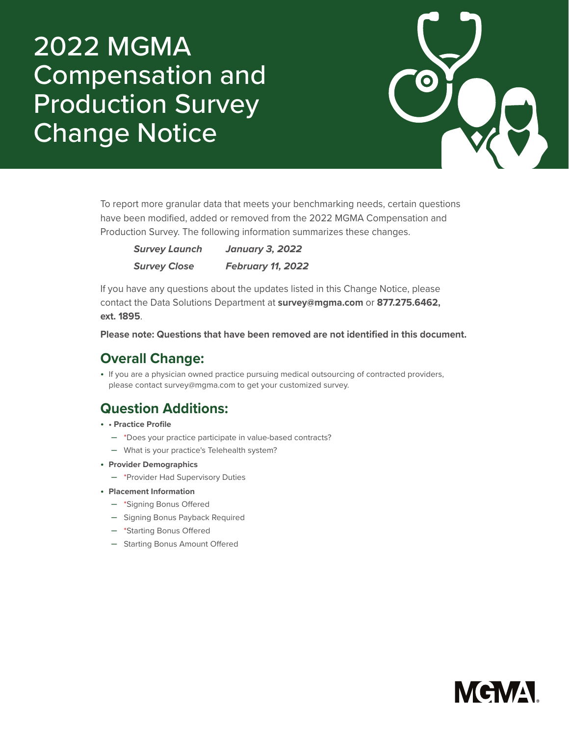## 2022 MGMA Compensation and Production Survey Change Notice



To report more granular data that meets your benchmarking needs, certain questions have been modified, added or removed from the 2022 MGMA Compensation and Production Survey. The following information summarizes these changes.

| <b>Survey Launch</b> | <b>January 3, 2022</b>   |
|----------------------|--------------------------|
| <b>Survey Close</b>  | <b>February 11, 2022</b> |

If you have any questions about the updates listed in this Change Notice, please contact the Data Solutions Department at **survey@mgma.com** or **877.275.6462, ext. 1895**.

**Please note: Questions that have been removed are not identified in this document.**

## **Overall Change:**

• If you are a physician owned practice pursuing medical outsourcing of contracted providers, please contact survey@mgma.com to get your customized survey.

## **Question Additions:**

- **Practice Profile**
	- \*Does your practice participate in value-based contracts?
	- What is your practice's Telehealth system?
- **Provider Demographics** 
	- \*Provider Had Supervisory Duties
- **Placement Information** 
	- \*Signing Bonus Offered
	- Signing Bonus Payback Required
	- \*Starting Bonus Offered
	- Starting Bonus Amount Offered

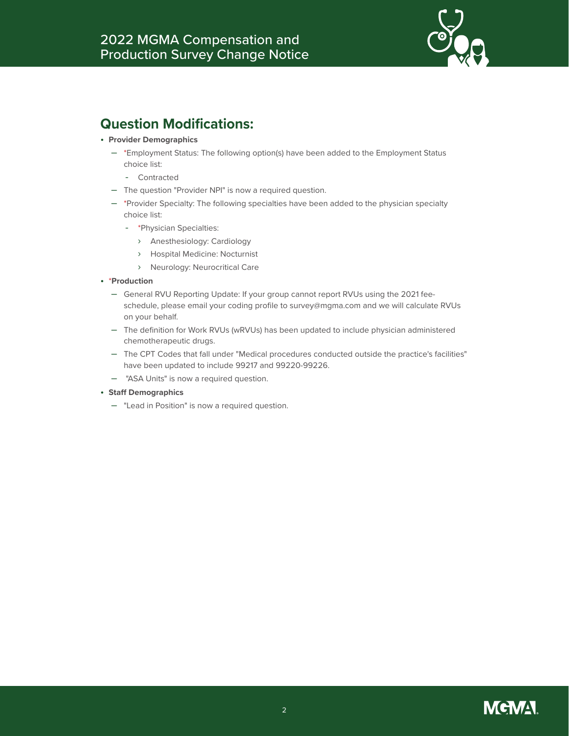

## **Question Modifications:**

- **Provider Demographics**
	- \*Employment Status: The following option(s) have been added to the Employment Status choice list:
		- Contracted
	- The question "Provider NPI" is now a required question.
	- \*Provider Specialty: The following specialties have been added to the physician specialty choice list:
		- \*Physician Specialties:
			- › Anesthesiology: Cardiology
			- › Hospital Medicine: Nocturnist
			- › Neurology: Neurocritical Care
- \***Production**
	- General RVU Reporting Update: If your group cannot report RVUs using the 2021 feeschedule, please email your coding profile to survey@mgma.com and we will calculate RVUs on your behalf.
	- The definition for Work RVUs (wRVUs) has been updated to include physician administered chemotherapeutic drugs.
	- The CPT Codes that fall under "Medical procedures conducted outside the practice's facilities" have been updated to include 99217 and 99220-99226.
	- "ASA Units" is now a required question.
- **Staff Demographics**
	- "Lead in Position" is now a required question.